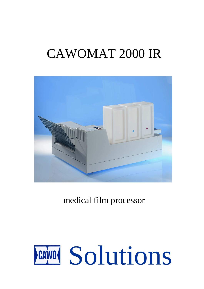# CAWOMAT 2000 IR



medical film processor